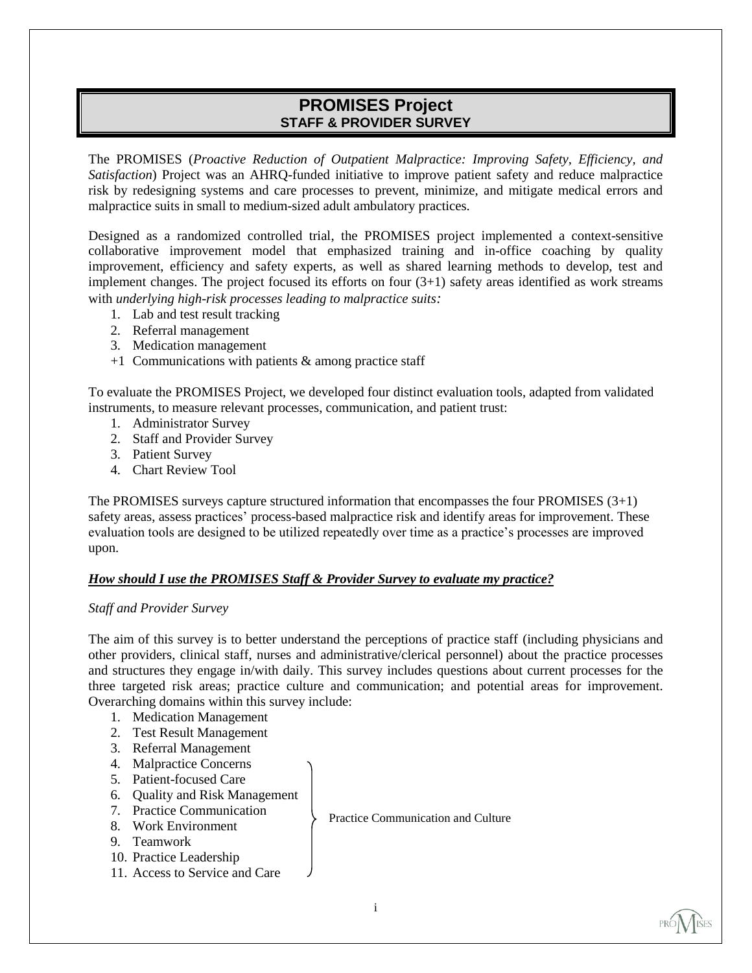# **PROMISES Project STAFF & PROVIDER SURVEY**

The PROMISES (*Proactive Reduction of Outpatient Malpractice: Improving Safety, Efficiency, and Satisfaction*) Project was an AHRQ-funded initiative to improve patient safety and reduce malpractice risk by redesigning systems and care processes to prevent, minimize, and mitigate medical errors and malpractice suits in small to medium-sized adult ambulatory practices.

Designed as a randomized controlled trial, the PROMISES project implemented a context-sensitive collaborative improvement model that emphasized training and in-office coaching by quality improvement, efficiency and safety experts, as well as shared learning methods to develop, test and implement changes. The project focused its efforts on four (3+1) safety areas identified as work streams with *underlying high-risk processes leading to malpractice suits:*

- 1. Lab and test result tracking
- 2. Referral management
- 3. Medication management
- $+1$  Communications with patients & among practice staff

To evaluate the PROMISES Project, we developed four distinct evaluation tools, adapted from validated instruments, to measure relevant processes, communication, and patient trust:

- 1. Administrator Survey
- 2. Staff and Provider Survey
- 3. Patient Survey
- 4. Chart Review Tool

The PROMISES surveys capture structured information that encompasses the four PROMISES (3+1) safety areas, assess practices' process-based malpractice risk and identify areas for improvement. These evaluation tools are designed to be utilized repeatedly over time as a practice's processes are improved upon.

## *How should I use the PROMISES Staff & Provider Survey to evaluate my practice?*

#### *Staff and Provider Survey*

The aim of this survey is to better understand the perceptions of practice staff (including physicians and other providers, clinical staff, nurses and administrative/clerical personnel) about the practice processes and structures they engage in/with daily. This survey includes questions about current processes for the three targeted risk areas; practice culture and communication; and potential areas for improvement. Overarching domains within this survey include:

- 1. Medication Management
- 2. Test Result Management
- 3. Referral Management
- 4. Malpractice Concerns
- 5. Patient-focused Care
- 6. Quality and Risk Management
- 7. Practice Communication
- 8. Work Environment
- 9. Teamwork
- 10. Practice Leadership
- 11. Access to Service and Care

Practice Communication and Culture



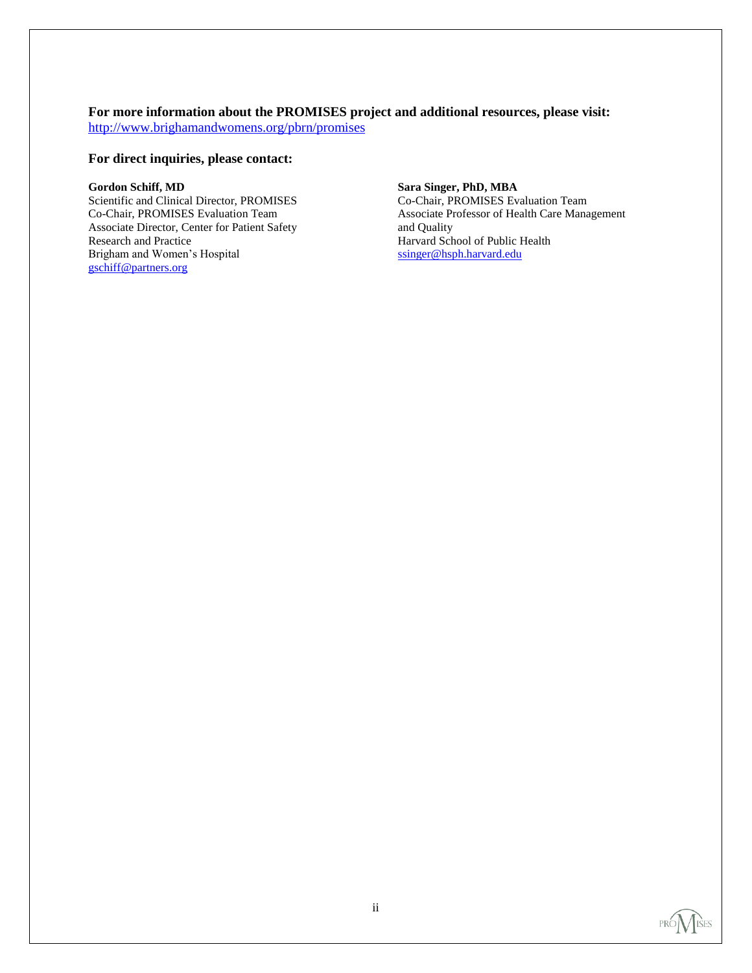# **For more information about the PROMISES project and additional resources, please visit:**

<http://www.brighamandwomens.org/pbrn/promises>

## **For direct inquiries, please contact:**

## **Gordon Schiff, MD**

Scientific and Clinical Director, PROMISES Co-Chair, PROMISES Evaluation Team Associate Director, Center for Patient Safety Research and Practice Brigham and Women's Hospital [gschiff@partners.org](file://PHSNETAPP4/mo731$/gschiff@partners.org)

## **Sara Singer, PhD, MBA**

Co-Chair, PROMISES Evaluation Team Associate Professor of Health Care Management and Quality Harvard School of Public Health [ssinger@hsph.harvard.edu](ssinger@hsph.harvard.edu%0c)

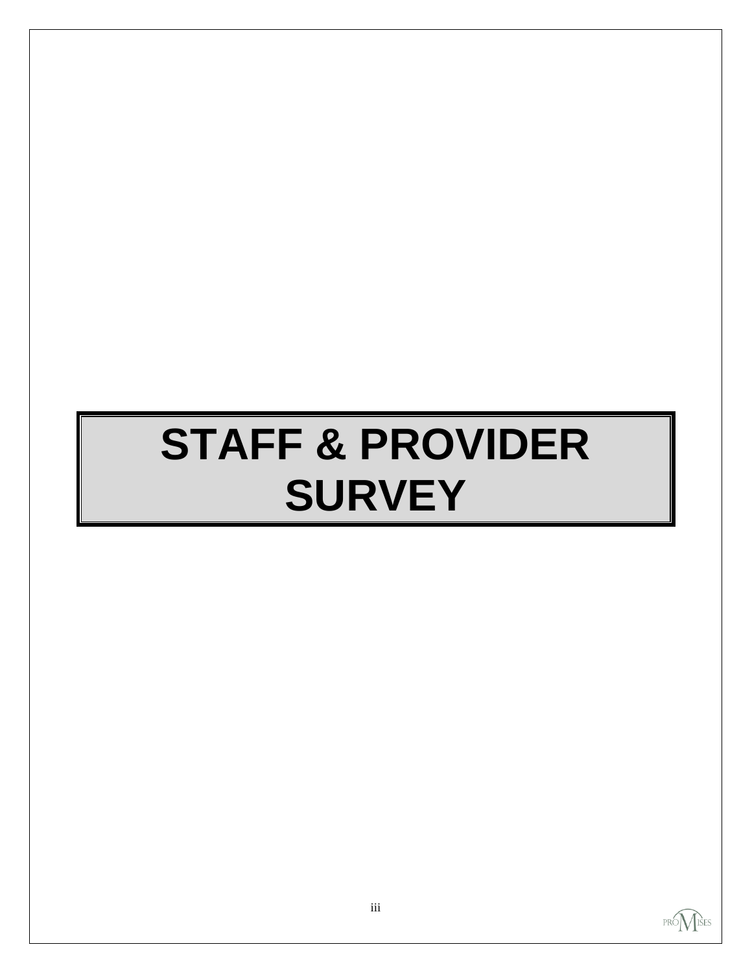# **STAFF & PROVIDER SURVEY**

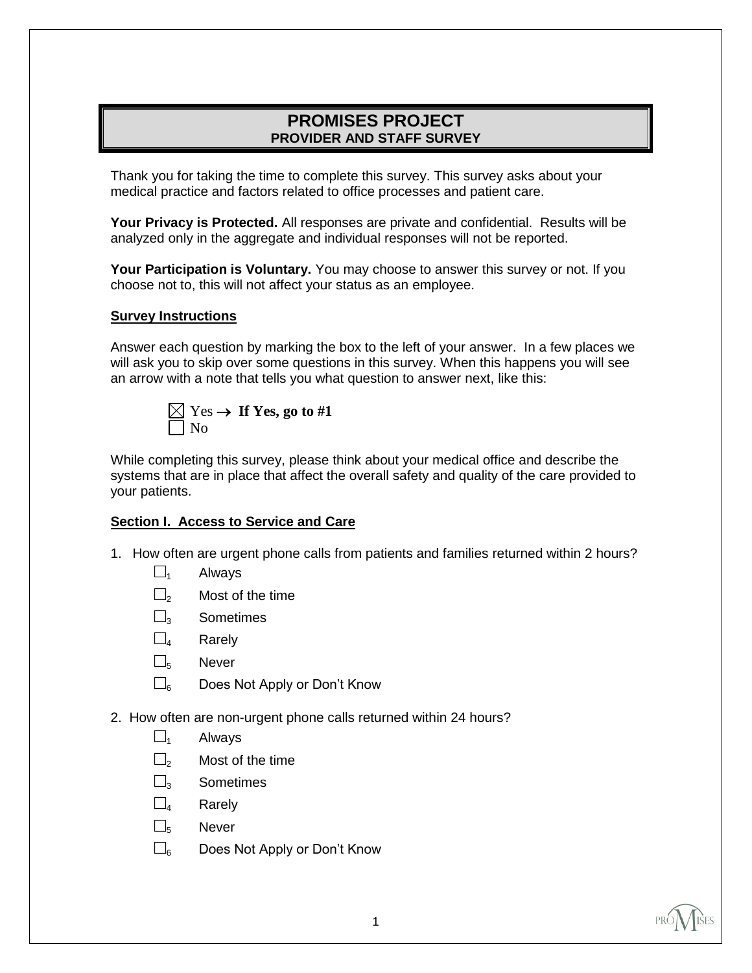# **PROMISES PROJECT PROVIDER AND STAFF SURVEY**

Thank you for taking the time to complete this survey. This survey asks about your medical practice and factors related to office processes and patient care.

**Your Privacy is Protected.** All responses are private and confidential. Results will be analyzed only in the aggregate and individual responses will not be reported.

**Your Participation is Voluntary.** You may choose to answer this survey or not. If you choose not to, this will not affect your status as an employee.

## **Survey Instructions**

Answer each question by marking the box to the left of your answer. In a few places we will ask you to skip over some questions in this survey. When this happens you will see an arrow with a note that tells you what question to answer next, like this:



While completing this survey, please think about your medical office and describe the systems that are in place that affect the overall safety and quality of the care provided to your patients.

## **Section I. Access to Service and Care**

- 1. How often are urgent phone calls from patients and families returned within 2 hours?
	- $\square_1$  Always
	- $\Box$ <sub>2</sub> Most of the time
	- □3 Sometimes
	- $\square$ <sub>4</sub> Rarely
	- □<sup>5</sup> Never
	- $\square$ <sub>6</sub> Does Not Apply or Don't Know
- 2. How often are non-urgent phone calls returned within 24 hours?
	- $\square$ <sub>1</sub> Always
	- $\Box$ <sub>2</sub> Most of the time
	- □<sub>2</sub> Sometimes
	- $\square$ <sub>4</sub> Rarely
	- □<sup>5</sup> Never
	- $\square$ <sub>6</sub> Does Not Apply or Don't Know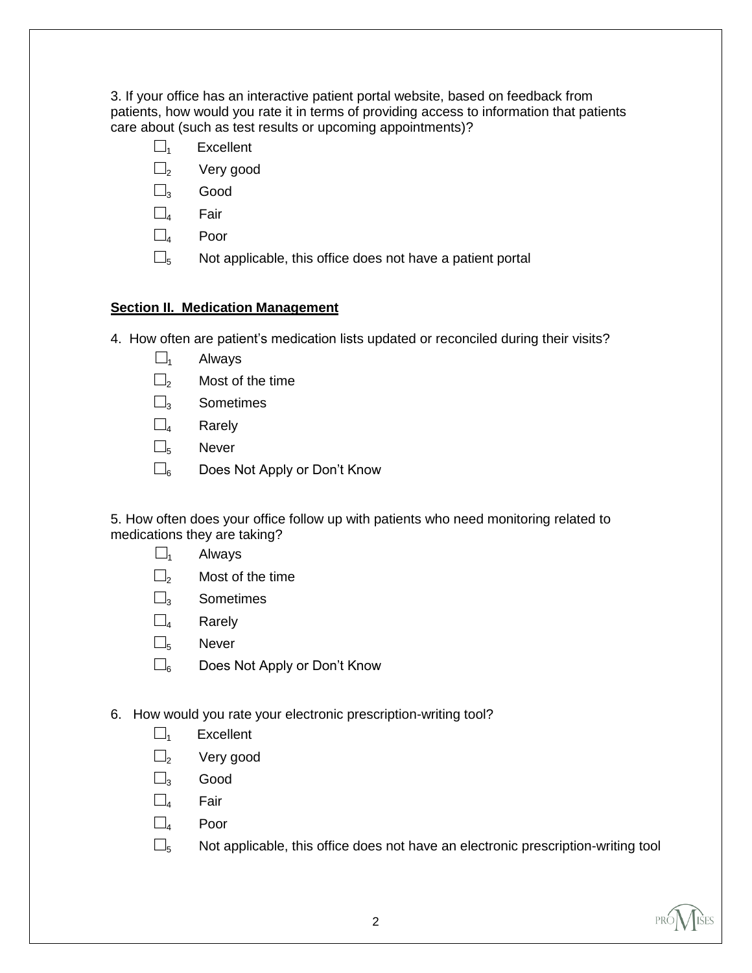3. If your office has an interactive patient portal website, based on feedback from patients, how would you rate it in terms of providing access to information that patients care about (such as test results or upcoming appointments)?

- $\square$ <sub>1</sub> Excellent
- $\square$ <sub>2</sub> Very good
- $\square$ <sub>3</sub> Good
- $\square$ <sub>4</sub> Fair
- $\square$ <sub>4</sub> Poor
- $\square$ <sub>5</sub> Not applicable, this office does not have a patient portal

# **Section II. Medication Management**

- 4. How often are patient's medication lists updated or reconciled during their visits?
	- $\square$ <sub>1</sub> Always
	- $\square$ <sub>2</sub> Most of the time
	- $\square$ <sub>3</sub> Sometimes
	- $\square$ <sub>4</sub> Rarely
	- $\square$ <sub>5</sub> Never
	- $\square$ <sub>6</sub> Does Not Apply or Don't Know

5. How often does your office follow up with patients who need monitoring related to medications they are taking?

- $\square$ <sub>1</sub> Always
- $\square$ <sub>2</sub> Most of the time
- $\square$ <sub>3</sub> Sometimes
- $\square$ <sub>4</sub> Rarely
- $\square$ <sub>5</sub> Never
- $\square$ <sub>6</sub> Does Not Apply or Don't Know
- 6. How would you rate your electronic prescription-writing tool?
	- $\square$ <sub>1</sub> Excellent
	- $\square$ <sub>2</sub> Very good
	- $\square$ <sub>3</sub> Good
	- □<sup>4</sup> Fair
	- $\square$ <sub>4</sub> Poor
	- $\square$ <sub>5</sub> Not applicable, this office does not have an electronic prescription-writing tool

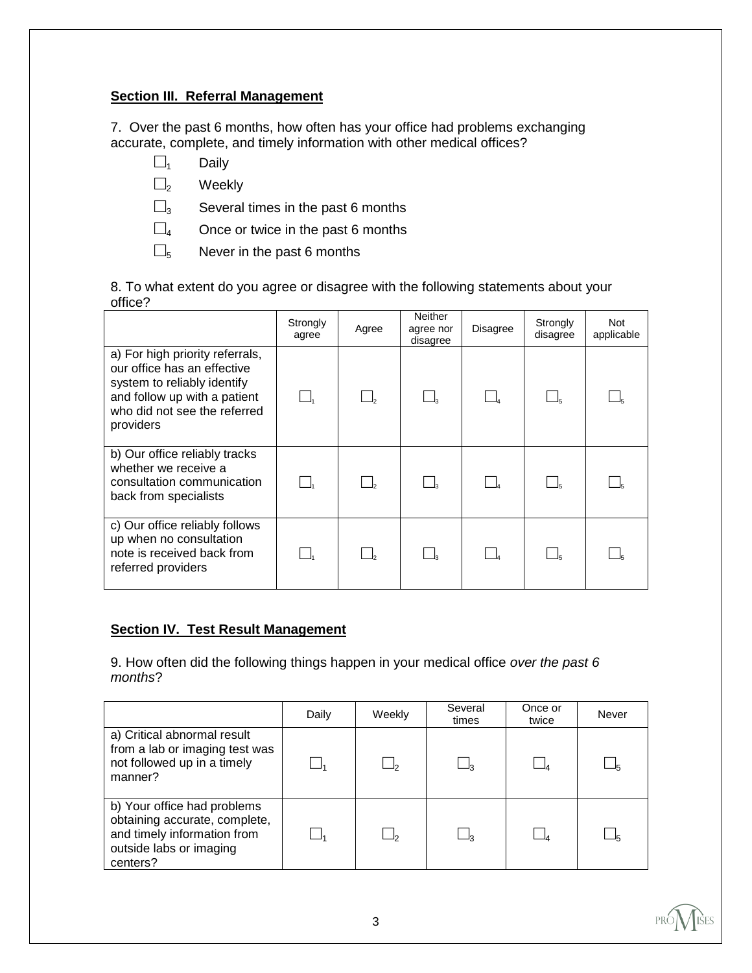# **Section III. Referral Management**

7. Over the past 6 months, how often has your office had problems exchanging accurate, complete, and timely information with other medical offices?

- $\square$ <sub>1</sub> Daily
- $\square$ <sub>2</sub> Weekly

 $\square$ <sub>3</sub> Several times in the past 6 months

- $\square$ 4 Once or twice in the past 6 months
- $\square_5$  Never in the past 6 months

8. To what extent do you agree or disagree with the following statements about your office?

|                                                                                                                                                                            | Strongly<br>agree | Agree | Neither<br>agree nor<br>disagree | <b>Disagree</b> | Strongly<br>disagree | <b>Not</b><br>applicable |
|----------------------------------------------------------------------------------------------------------------------------------------------------------------------------|-------------------|-------|----------------------------------|-----------------|----------------------|--------------------------|
| a) For high priority referrals,<br>our office has an effective<br>system to reliably identify<br>and follow up with a patient<br>who did not see the referred<br>providers |                   |       |                                  |                 |                      |                          |
| b) Our office reliably tracks<br>whether we receive a<br>consultation communication<br>back from specialists                                                               |                   |       |                                  |                 |                      |                          |
| c) Our office reliably follows<br>up when no consultation<br>note is received back from<br>referred providers                                                              |                   |       |                                  |                 |                      |                          |

# **Section IV. Test Result Management**

9. How often did the following things happen in your medical office *over the past 6 months*?

|                                                                                                                                    | Daily | Weekly | Several<br>times | Once or<br>twice | Never |
|------------------------------------------------------------------------------------------------------------------------------------|-------|--------|------------------|------------------|-------|
| a) Critical abnormal result<br>from a lab or imaging test was<br>not followed up in a timely<br>manner?                            |       |        |                  |                  |       |
| b) Your office had problems<br>obtaining accurate, complete,<br>and timely information from<br>outside labs or imaging<br>centers? |       |        |                  |                  |       |

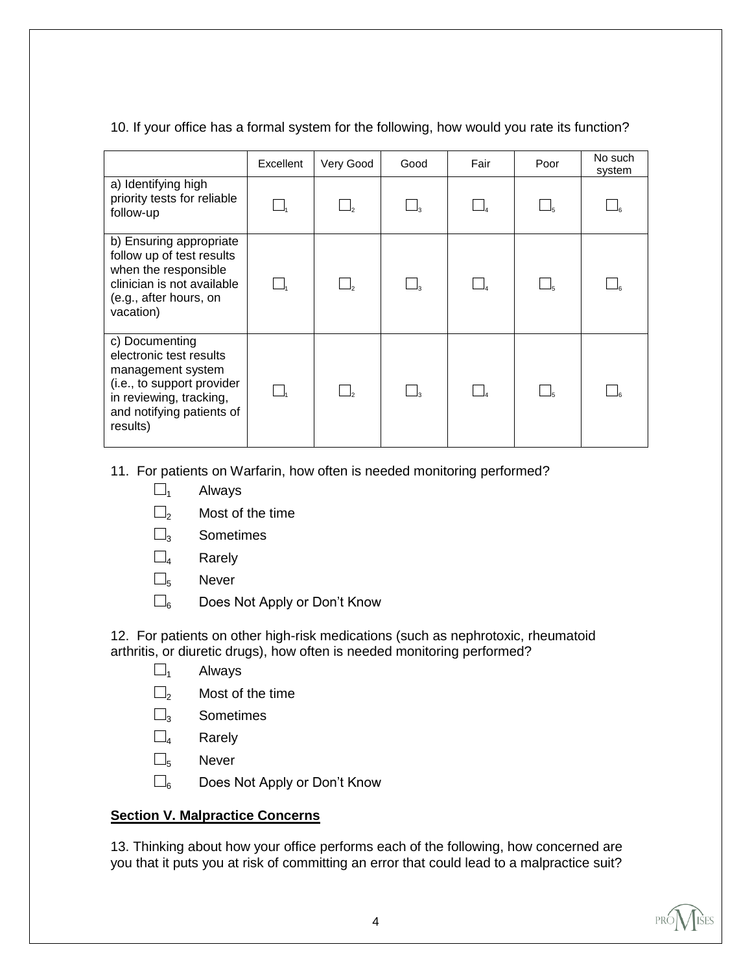# 10. If your office has a formal system for the following, how would you rate its function?

|                                                                                                                                                                  | Excellent | Very Good | Good | Fair | Poor | No such<br>system |
|------------------------------------------------------------------------------------------------------------------------------------------------------------------|-----------|-----------|------|------|------|-------------------|
| a) Identifying high<br>priority tests for reliable<br>follow-up                                                                                                  |           |           |      |      |      |                   |
| b) Ensuring appropriate<br>follow up of test results<br>when the responsible<br>clinician is not available<br>(e.g., after hours, on<br>vacation)                |           |           |      |      |      |                   |
| c) Documenting<br>electronic test results<br>management system<br>(i.e., to support provider<br>in reviewing, tracking,<br>and notifying patients of<br>results) |           |           |      |      |      |                   |

- 11. For patients on Warfarin, how often is needed monitoring performed?
	- $\square$ <sub>1</sub> Always
	- $\square$ <sub>2</sub> Most of the time
	- $\square$ <sub>3</sub> Sometimes
	- $\square$ <sub>4</sub> Rarely
	- $\square$ <sub>5</sub> Never
	- $\square_{6}$  Does Not Apply or Don't Know

12. For patients on other high-risk medications (such as nephrotoxic, rheumatoid arthritis, or diuretic drugs), how often is needed monitoring performed?

- $\square$ <sub>1</sub> Always
- $\square$ <sub>2</sub> Most of the time
- $\square$ <sub>3</sub> Sometimes
- $\square$ <sub>4</sub> Rarely
- $\square$ <sub>5</sub> Never
- $\square_6$  Does Not Apply or Don't Know

# **Section V. Malpractice Concerns**

13. Thinking about how your office performs each of the following, how concerned are you that it puts you at risk of committing an error that could lead to a malpractice suit?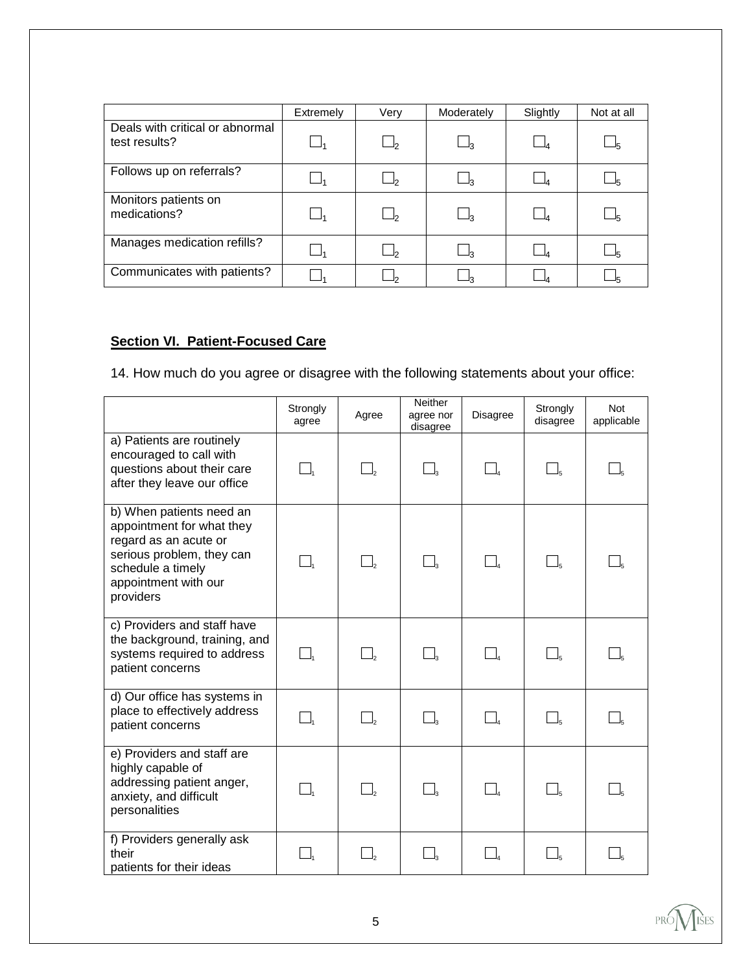|                                                  | Extremely | Very  | Moderately | Slightly | Not at all |
|--------------------------------------------------|-----------|-------|------------|----------|------------|
| Deals with critical or abnormal<br>test results? |           |       | _ქვ        |          |            |
| Follows up on referrals?                         |           |       | _ ვ        |          |            |
| Monitors patients on<br>medications?             |           | $J_2$ | _∣з        |          | –!5        |
| Manages medication refills?                      |           |       | ⊥่า        |          |            |
| Communicates with patients?                      |           |       | בּ∟        |          |            |

# **Section VI. Patient-Focused Care**

14. How much do you agree or disagree with the following statements about your office:

|                                                                                                                                                                       | Strongly<br>agree              | Agree                          | Neither<br>agree nor<br>disagree | Disagree           | Strongly<br>disagree | <b>Not</b><br>applicable |
|-----------------------------------------------------------------------------------------------------------------------------------------------------------------------|--------------------------------|--------------------------------|----------------------------------|--------------------|----------------------|--------------------------|
| a) Patients are routinely<br>encouraged to call with<br>questions about their care<br>after they leave our office                                                     |                                | $\Box_{\scriptscriptstyle{2}}$ | $\Box_3$                         |                    |                      |                          |
| b) When patients need an<br>appointment for what they<br>regard as an acute or<br>serious problem, they can<br>schedule a timely<br>appointment with our<br>providers |                                | $\Box_{\scriptscriptstyle 2}$  | $\Box$                           |                    | $\Box$               |                          |
| c) Providers and staff have<br>the background, training, and<br>systems required to address<br>patient concerns                                                       | $\Box_{\scriptscriptstyle{1}}$ | $\Box$                         | $\Box$                           |                    | $\Box_5$             |                          |
| d) Our office has systems in<br>place to effectively address<br>patient concerns                                                                                      | $\Box$                         | $\Box$                         | $\Box$                           |                    | $\Box_5$             |                          |
| e) Providers and staff are<br>highly capable of<br>addressing patient anger,<br>anxiety, and difficult<br>personalities                                               | $\Box_{\scriptscriptstyle{1}}$ | $\Box_{\scriptscriptstyle 2}$  | $\Box_{\scriptscriptstyle{3}}$   | $\Box_{\!\!\rm a}$ | $\Box$               |                          |
| f) Providers generally ask<br>their<br>patients for their ideas                                                                                                       |                                |                                |                                  |                    |                      |                          |

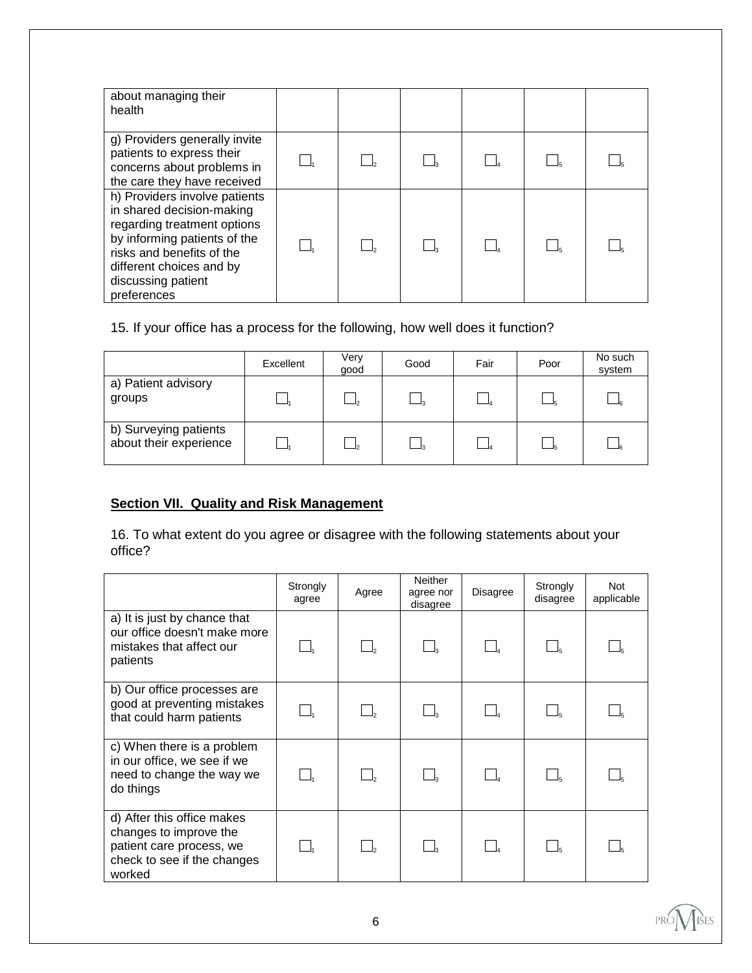| about managing their<br>health                                                                                                                                                                                          |  |  |  |
|-------------------------------------------------------------------------------------------------------------------------------------------------------------------------------------------------------------------------|--|--|--|
| g) Providers generally invite<br>patients to express their<br>concerns about problems in<br>the care they have received                                                                                                 |  |  |  |
| h) Providers involve patients<br>in shared decision-making<br>regarding treatment options<br>by informing patients of the<br>risks and benefits of the<br>different choices and by<br>discussing patient<br>preferences |  |  |  |

# 15. If your office has a process for the following, how well does it function?

|                                                 | Excellent | Verv<br>good | Good | Fair | Poor | No such<br>system |
|-------------------------------------------------|-----------|--------------|------|------|------|-------------------|
| a) Patient advisory<br>groups                   |           |              |      |      |      |                   |
| b) Surveying patients<br>about their experience |           |              |      |      |      |                   |

# **Section VII. Quality and Risk Management**

16. To what extent do you agree or disagree with the following statements about your office?

|                                                                                                                           | Strongly<br>agree | Agree | <b>Neither</b><br>agree nor<br>disagree | Disagree | Strongly<br>disagree | <b>Not</b><br>applicable |
|---------------------------------------------------------------------------------------------------------------------------|-------------------|-------|-----------------------------------------|----------|----------------------|--------------------------|
| a) It is just by chance that<br>our office doesn't make more<br>mistakes that affect our<br>patients                      |                   |       | $\Box$                                  |          |                      |                          |
| b) Our office processes are<br>good at preventing mistakes<br>that could harm patients                                    |                   |       |                                         |          |                      |                          |
| c) When there is a problem<br>in our office, we see if we<br>need to change the way we<br>do things                       |                   |       |                                         |          |                      |                          |
| d) After this office makes<br>changes to improve the<br>patient care process, we<br>check to see if the changes<br>worked |                   |       | $\Box_{3}$                              |          |                      |                          |

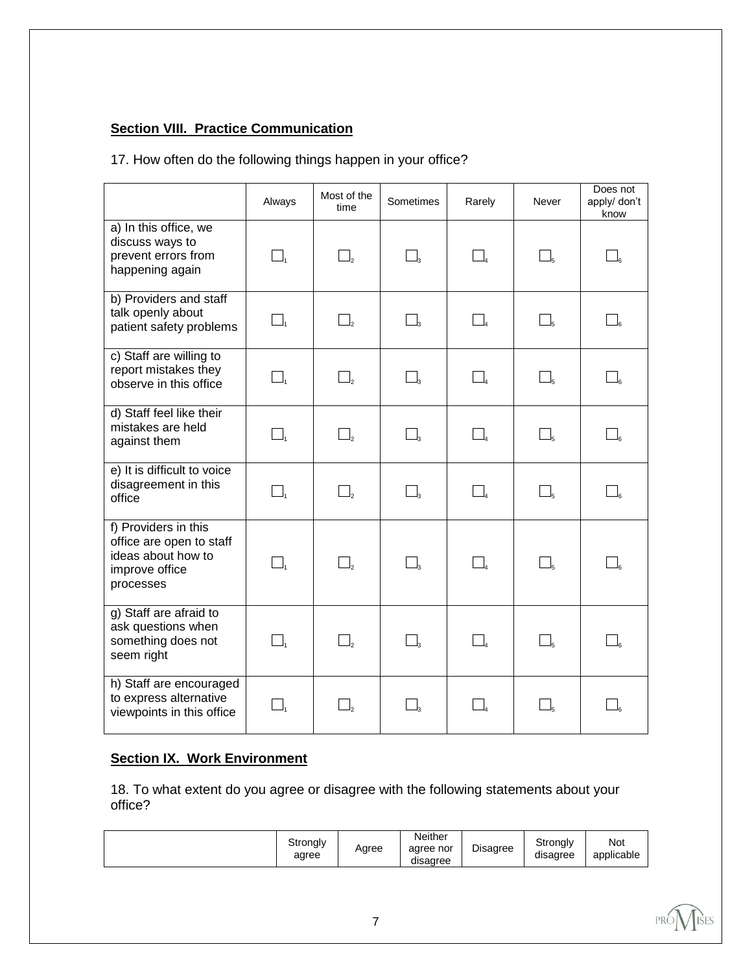# **Section VIII. Practice Communication**

# 17. How often do the following things happen in your office?

|                                                                                                       | Always                         | Most of the<br>time | Sometimes                        | Rarely                         | Never        | Does not<br>apply/ don't<br>know |
|-------------------------------------------------------------------------------------------------------|--------------------------------|---------------------|----------------------------------|--------------------------------|--------------|----------------------------------|
| a) In this office, we<br>discuss ways to<br>prevent errors from<br>happening again                    | $\Box$                         | $\Box$              | $\Box_3$                         |                                |              |                                  |
| b) Providers and staff<br>talk openly about<br>patient safety problems                                |                                | $\Box$              | $\Box$ <sub>3</sub>              | $\Box_{\scriptscriptstyle{4}}$ |              |                                  |
| c) Staff are willing to<br>report mistakes they<br>observe in this office                             | $\Box$                         | $\Box$ ,            | $\Box_{\scriptscriptstyle\rm S}$ |                                |              |                                  |
| d) Staff feel like their<br>mistakes are held<br>against them                                         | $\Box_{\scriptscriptstyle{1}}$ | $\Box_{2}$          | $\Box_{\scriptscriptstyle\rm s}$ |                                |              |                                  |
| e) It is difficult to voice<br>disagreement in this<br>office                                         | $\Box_{\scriptscriptstyle{1}}$ | $\Box$              | $\Box_{\scriptscriptstyle{3}}$   |                                |              |                                  |
| f) Providers in this<br>office are open to staff<br>ideas about how to<br>improve office<br>processes |                                | $\Box$              | $\Box$                           |                                |              |                                  |
| g) Staff are afraid to<br>ask questions when<br>something does not<br>seem right                      | $\Box$                         | $\Box$ ,            | $\Box_{\scriptscriptstyle\rm S}$ |                                |              |                                  |
| h) Staff are encouraged<br>to express alternative<br>viewpoints in this office                        | $\_I_1$                        | $\Box$ <sub>2</sub> | $\Box$                           |                                | $\Box_{\!s}$ |                                  |

# **Section IX. Work Environment**

18. To what extent do you agree or disagree with the following statements about your office?

|  | Strongly<br>agree | Agree | Neither<br>agree nor<br>disagree | - -<br>Disagree | Strongly<br>disagree | Not<br>applicable |
|--|-------------------|-------|----------------------------------|-----------------|----------------------|-------------------|
|--|-------------------|-------|----------------------------------|-----------------|----------------------|-------------------|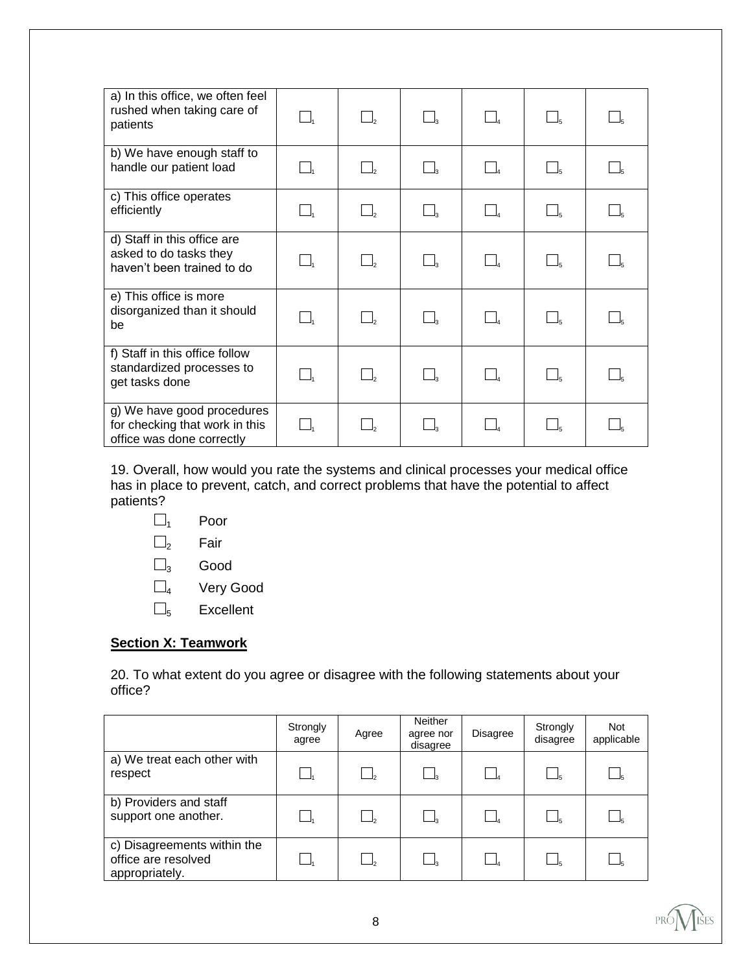| a) In this office, we often feel<br>rushed when taking care of<br>patients                | $\Box_1$                       |                                |                     |  |  |
|-------------------------------------------------------------------------------------------|--------------------------------|--------------------------------|---------------------|--|--|
| b) We have enough staff to<br>handle our patient load                                     | $\Box_{\scriptscriptstyle{1}}$ | $\Box$                         | $\Box$ <sub>3</sub> |  |  |
| c) This office operates<br>efficiently                                                    | $\Box_{\scriptscriptstyle{1}}$ | $\Box$                         |                     |  |  |
| d) Staff in this office are<br>asked to do tasks they<br>haven't been trained to do       | $\Box_{\scriptscriptstyle{1}}$ | $\Box$                         |                     |  |  |
| e) This office is more<br>disorganized than it should<br>be                               | $\Box_{\scriptscriptstyle{1}}$ | $\Box_{\scriptscriptstyle{2}}$ |                     |  |  |
| f) Staff in this office follow<br>standardized processes to<br>get tasks done             | $\Box$                         | $\Box$                         |                     |  |  |
| g) We have good procedures<br>for checking that work in this<br>office was done correctly | l I.                           |                                |                     |  |  |

19. Overall, how would you rate the systems and clinical processes your medical office has in place to prevent, catch, and correct problems that have the potential to affect patients?

 $\square_1$  Poor

□<sup>2</sup> Fair

 $\square_3$  Good

 $\square$ 4 Very Good

 $\square$ <sub>5</sub> Excellent

# **Section X: Teamwork**

20. To what extent do you agree or disagree with the following statements about your office?

|                                                                      | Strongly<br>agree | Agree        | <b>Neither</b><br>agree nor<br>disagree | <b>Disagree</b> | Strongly<br>disagree | <b>Not</b><br>applicable |
|----------------------------------------------------------------------|-------------------|--------------|-----------------------------------------|-----------------|----------------------|--------------------------|
| a) We treat each other with<br>respect                               |                   | $\Box$       |                                         |                 |                      |                          |
| b) Providers and staff<br>support one another.                       |                   | $\Box$       |                                         |                 |                      |                          |
| c) Disagreements within the<br>office are resolved<br>appropriately. |                   | $\mathsf{L}$ |                                         |                 |                      |                          |

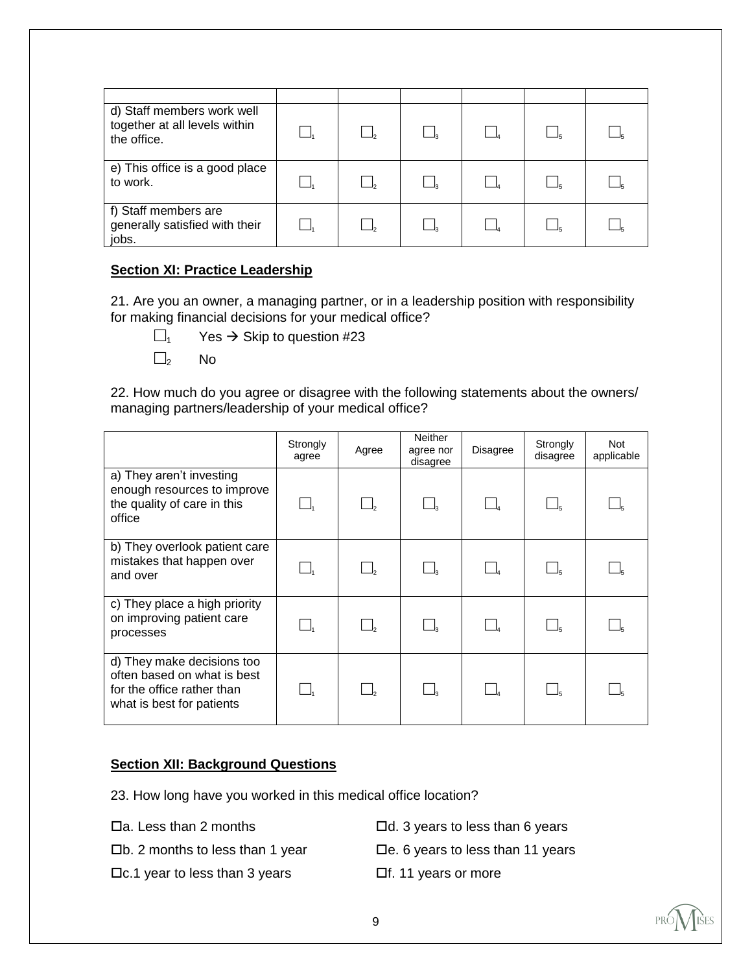| d) Staff members work well<br>together at all levels within<br>the office. |  |  |  |
|----------------------------------------------------------------------------|--|--|--|
| e) This office is a good place<br>to work.                                 |  |  |  |
| f) Staff members are<br>generally satisfied with their<br>jobs.            |  |  |  |

## **Section XI: Practice Leadership**

21. Are you an owner, a managing partner, or in a leadership position with responsibility for making financial decisions for your medical office?

- 
- $\square$ <sub>1</sub> Yes  $\rightarrow$  Skip to question #23
	- $\square$ <sub>2</sub> No

22. How much do you agree or disagree with the following statements about the owners/ managing partners/leadership of your medical office?

|                                                                                                                      | Strongly<br>agree | Agree    | <b>Neither</b><br>agree nor<br>disagree | <b>Disagree</b> | Strongly<br>disagree | <b>Not</b><br>applicable |
|----------------------------------------------------------------------------------------------------------------------|-------------------|----------|-----------------------------------------|-----------------|----------------------|--------------------------|
| a) They aren't investing<br>enough resources to improve<br>the quality of care in this<br>office                     |                   |          |                                         |                 |                      |                          |
| b) They overlook patient care<br>mistakes that happen over<br>and over                                               |                   |          |                                         |                 |                      |                          |
| c) They place a high priority<br>on improving patient care<br>processes                                              |                   | $\Box$ , |                                         |                 |                      |                          |
| d) They make decisions too<br>often based on what is best<br>for the office rather than<br>what is best for patients |                   |          |                                         |                 |                      |                          |

## **Section XII: Background Questions**

- 23. How long have you worked in this medical office location?
- 
- 
- $\Box$ c.1 year to less than 3 years  $\Box$ f. 11 years or more
- $\Box$ a. Less than 2 months  $\Box$ d. 3 years to less than 6 years
- $\square$ b. 2 months to less than 1 year  $\square$ e. 6 years to less than 11 years
	-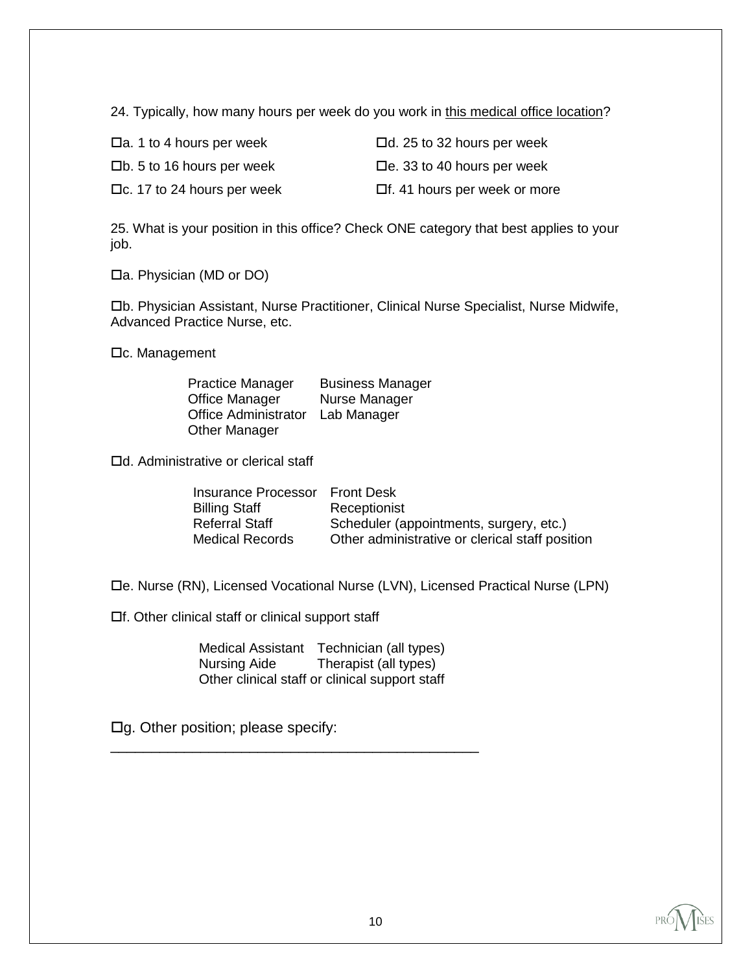24. Typically, how many hours per week do you work in this medical office location?

| $\Box$ a. 1 to 4 hours per week     | $\Box$ d. 25 to 32 hours per week   |
|-------------------------------------|-------------------------------------|
| $\square$ b. 5 to 16 hours per week | $\Box$ e. 33 to 40 hours per week   |
| $\Box$ c. 17 to 24 hours per week   | $\Box$ f. 41 hours per week or more |

25. What is your position in this office? Check ONE category that best applies to your job.

 $\Box$ a. Physician (MD or DO)

b. Physician Assistant, Nurse Practitioner, Clinical Nurse Specialist, Nurse Midwife, Advanced Practice Nurse, etc.

 $\Box$ c. Management

| <b>Practice Manager</b>     | <b>Business Manager</b> |
|-----------------------------|-------------------------|
| Office Manager              | Nurse Manager           |
| <b>Office Administrator</b> | Lab Manager             |
| <b>Other Manager</b>        |                         |

□d. Administrative or clerical staff

| Insurance Processor Front Desk |                                                 |
|--------------------------------|-------------------------------------------------|
| <b>Billing Staff</b>           | Receptionist                                    |
| <b>Referral Staff</b>          | Scheduler (appointments, surgery, etc.)         |
| <b>Medical Records</b>         | Other administrative or clerical staff position |

e. Nurse (RN), Licensed Vocational Nurse (LVN), Licensed Practical Nurse (LPN)

 $\Box$ f. Other clinical staff or clinical support staff

Medical Assistant Technician (all types)<br>Nursing Aide Therapist (all types) Therapist (all types) Other clinical staff or clinical support staff

\_\_\_\_\_\_\_\_\_\_\_\_\_\_\_\_\_\_\_\_\_\_\_\_\_\_\_\_\_\_\_\_\_\_\_\_\_\_\_\_\_\_\_\_\_

 $\Box$ g. Other position; please specify: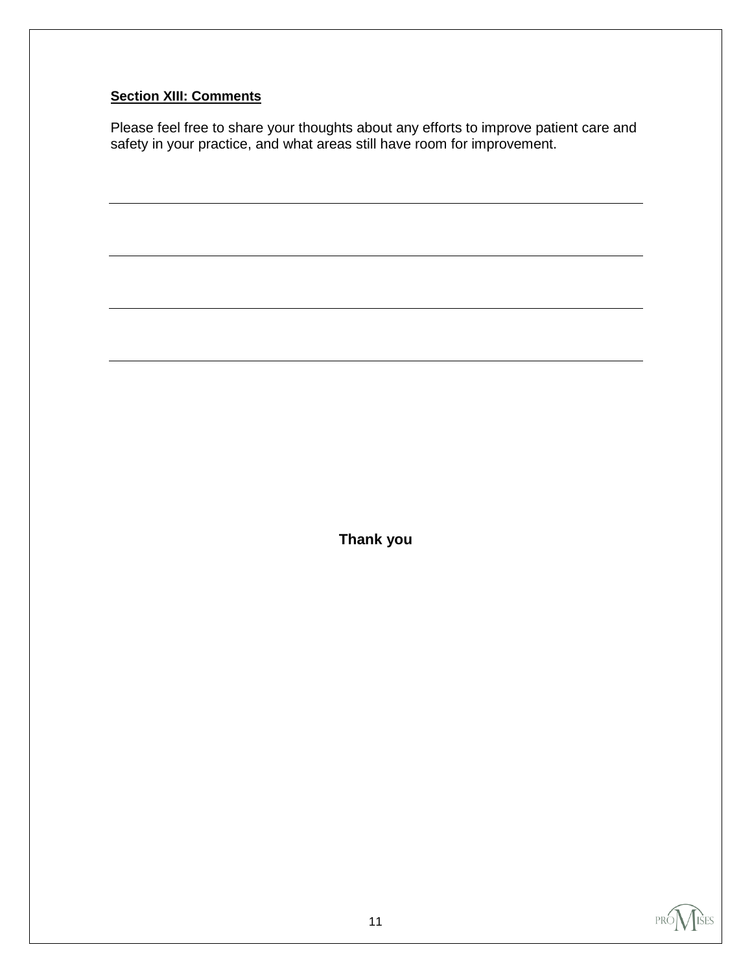# **Section XIII: Comments**

Please feel free to share your thoughts about any efforts to improve patient care and safety in your practice, and what areas still have room for improvement.

**Thank you**